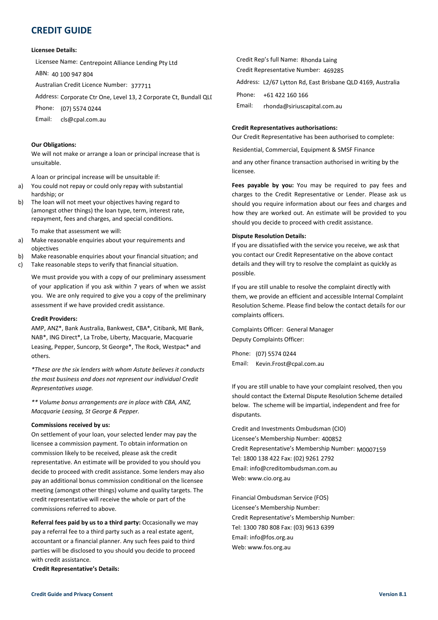# **CREDIT GUIDE**

## **Licensee Details:**

Licensee Name: Centrepoint Alliance Lending Pty Ltd

ABN: 40 100 947 804

Australian Credit Licence Number: 377711

Address: Corporate Ctr One, Level 13, 2 Corporate Ct, Bundall QLI <sup>Phone:</sup>

Phone: (07) 5574 0244

Email:

# **Our Obligations:**

We will not make or arrange a loan or principal increase that is unsuitable.

A loan or principal increase will be unsuitable if:

- a) You could not repay or could only repay with substantial hardship; or
- b) The loan will not meet your objectives having regard to (amongst other things) the loan type, term, interest rate, repayment, fees and charges, and special conditions.

To make that assessment we will:

- a) Make reasonable enquiries about your requirements and objectives
- b) Make reasonable enquiries about your financial situation; and
- c) Take reasonable steps to verify that financial situation.

We must provide you with a copy of our preliminary assessment of your application if you ask within 7 years of when we assist you. We are only required to give you a copy of the preliminary assessment if we have provided credit assistance.

# **Credit Providers:**

AMP, ANZ\*, Bank Australia, Bankwest, CBA\*, Citibank, ME Bank, NAB\*, ING Direct\*, La Trobe, Liberty, Macquarie, Macquarie Leasing, Pepper, Suncorp, St George\*, The Rock, Westpac\* and others.

*\*These are the six lenders with whom Astute believes it conducts the most business and does not represent our individual Credit Representatives usage.*

*\*\* Volume bonus arrangements are in place with CBA, ANZ, Macquarie Leasing, St George & Pepper.*

#### **Commissions received by us:**

On settlement of your loan, your selected lender may pay the licensee a commission payment. To obtain information on commission likely to be received, please ask the credit representative. An estimate will be provided to you should you decide to proceed with credit assistance. Some lenders may also pay an additional bonus commission conditional on the licensee meeting (amongst other things) volume and quality targets. The credit representative will receive the whole or part of the commissions referred to above.

**Referral fees paid by us to a third party: Occasionally we may** pay a referral fee to a third party such as a real estate agent, accountant or a financial planner. Any such fees paid to third parties will be disclosed to you should you decide to proceed with credit assistance.

**Credit Representative's Details:** 

| Name: Centrepoint Alliance Lending Pty Ltd               | Credit Rep's full Name: Rhonda Laing                        |
|----------------------------------------------------------|-------------------------------------------------------------|
| 100 947 804                                              | Credit Representative Number: 469285                        |
| n Credit Licence Number: 377711                          | Address: L2/67 Lytton Rd, East Brisbane QLD 4169, Australia |
| Corporate Ctr One, Level 13, 2 Corporate Ct, Bundall QLI | +61 422 160 166<br>Phone:                                   |
| (07) 5574 0244                                           | Email:<br>rhonda@siriuscapital.com.au                       |
| cls@cpal.com.au                                          |                                                             |

#### **Credit Representatives authorisations:**

Our Credit Representative has been authorised to complete:

Residential, Commercial, Equipment & SMSF Finance

and any other finance transaction authorised in writing by the licensee.

**Fees payable by you:** You may be required to pay fees and charges to the Credit Representative or Lender. Please ask us should you require information about our fees and charges and how they are worked out. An estimate will be provided to you should you decide to proceed with credit assistance.

#### **Dispute Resolution Details:**

If you are dissatisfied with the service you receive, we ask that you contact our Credit Representative on the above contact details and they will try to resolve the complaint as quickly as possible.

If you are still unable to resolve the complaint directly with them, we provide an efficient and accessible Internal Complaint Resolution Scheme. Please find below the contact details for our complaints officers.

Complaints Officer: General Manager Deputy Complaints Officer:

Phone: (07) 5574 0244 Email: Kevin.Frost@cpal.com.au

If you are still unable to have your complaint resolved, then you should contact the External Dispute Resolution Scheme detailed below. The scheme will be impartial, independent and free for disputants. Kevin.Frost@cpal.com.au<br>
2 still unable to have your compl.<br>
2 still unable to have your compl.<br>
2 still unable to have your compl.<br>
2 he scheme will be impartial, ind<br>
3 Membership Number: 400852

Credit and Investments Ombudsman (CIO) Licensee's Membership Number: Credit Representative's Membership Number: M0007159Tel: 1800 138 422 Fax: (02) 9261 2792 Email: info@creditombudsman.com.au Web: www.cio.org.au

Financial Ombudsman Service (FOS) Licensee's Membership Number: Credit Representative's Membership Number: Tel: 1300 780 808 Fax: (03) 9613 6399 Email: info@fos.org.au Web: www.fos.org.au